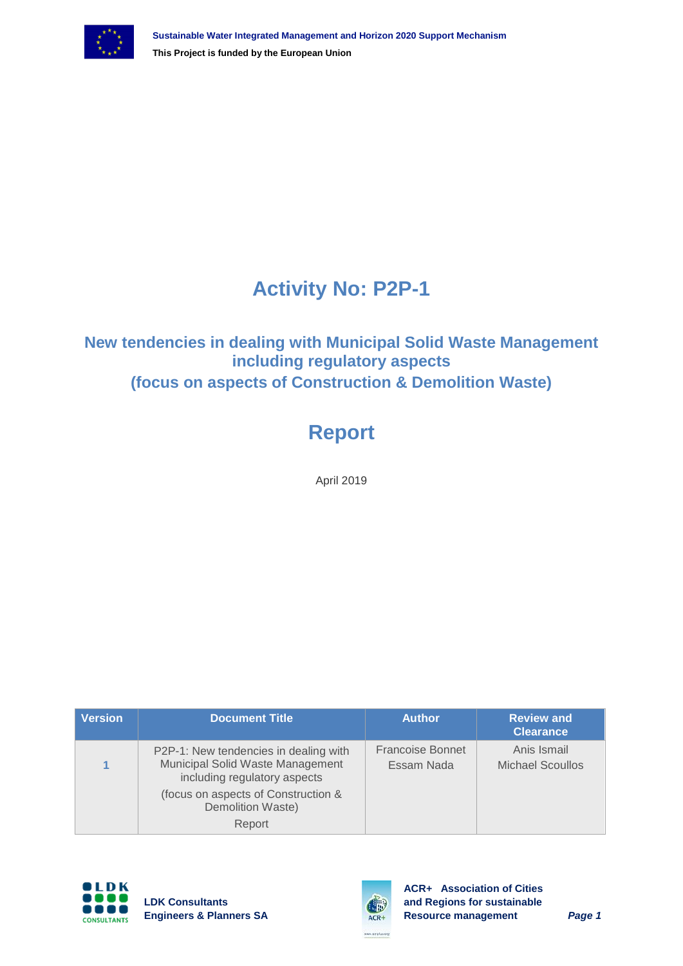

# **Activity No: P2P-1**

#### **New tendencies in dealing with Municipal Solid Waste Management including regulatory aspects (focus on aspects of Construction & Demolition Waste)**

# **Report**

April 2019

| <b>Version</b> | <b>Document Title</b>                                                                                     | <b>Author</b>                         | <b>Review and</b><br><b>Clearance</b>  |
|----------------|-----------------------------------------------------------------------------------------------------------|---------------------------------------|----------------------------------------|
|                | P2P-1: New tendencies in dealing with<br>Municipal Solid Waste Management<br>including regulatory aspects | <b>Francoise Bonnet</b><br>Essam Nada | Anis Ismail<br><b>Michael Scoullos</b> |
|                | (focus on aspects of Construction &<br>Demolition Waste)                                                  |                                       |                                        |
|                | Report                                                                                                    |                                       |                                        |





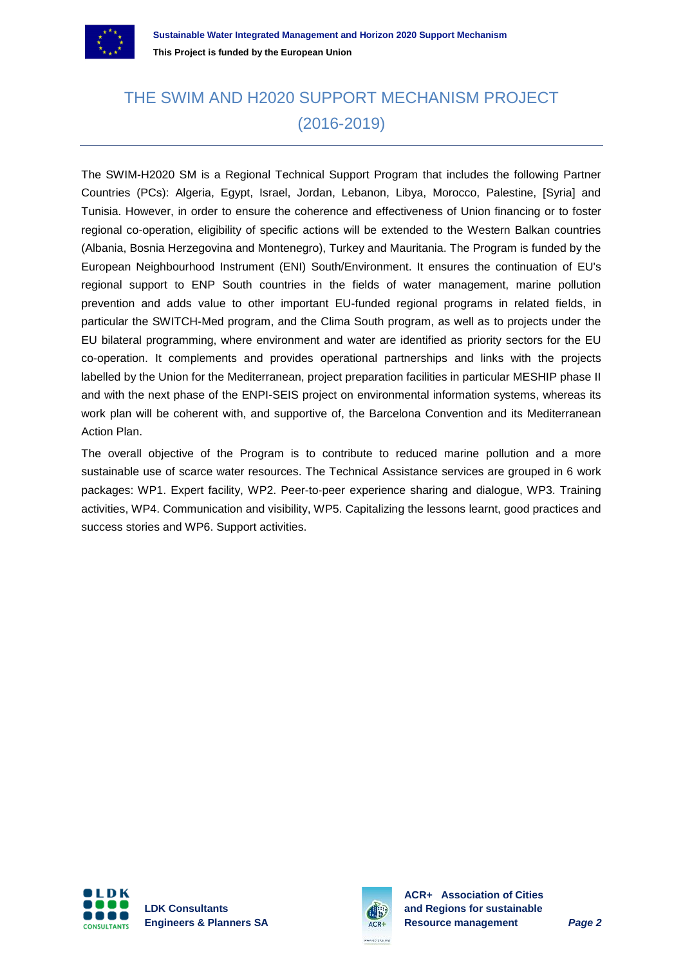

### THE SWIM AND H2020 SUPPORT MECHANISM PROJECT (2016-2019)

The SWIM-H2020 SM is a Regional Technical Support Program that includes the following Partner Countries (PCs): Algeria, Egypt, Israel, Jordan, Lebanon, Libya, Morocco, Palestine, [Syria] and Tunisia. However, in order to ensure the coherence and effectiveness of Union financing or to foster regional co-operation, eligibility of specific actions will be extended to the Western Balkan countries (Albania, Bosnia Herzegovina and Montenegro), Turkey and Mauritania. The Program is funded by the European Neighbourhood Instrument (ENI) South/Environment. It ensures the continuation of EU's regional support to ENP South countries in the fields of water management, marine pollution prevention and adds value to other important EU-funded regional programs in related fields, in particular the SWITCH-Med program, and the Clima South program, as well as to projects under the EU bilateral programming, where environment and water are identified as priority sectors for the EU co-operation. It complements and provides operational partnerships and links with the projects labelled by the Union for the Mediterranean, project preparation facilities in particular MESHIP phase II and with the next phase of the ENPI-SEIS project on environmental information systems, whereas its work plan will be coherent with, and supportive of, the Barcelona Convention and its Mediterranean Action Plan.

The overall objective of the Program is to contribute to reduced marine pollution and a more sustainable use of scarce water resources. The Technical Assistance services are grouped in 6 work packages: WP1. Expert facility, WP2. Peer-to-peer experience sharing and dialogue, WP3. Training activities, WP4. Communication and visibility, WP5. Capitalizing the lessons learnt, good practices and success stories and WP6. Support activities.



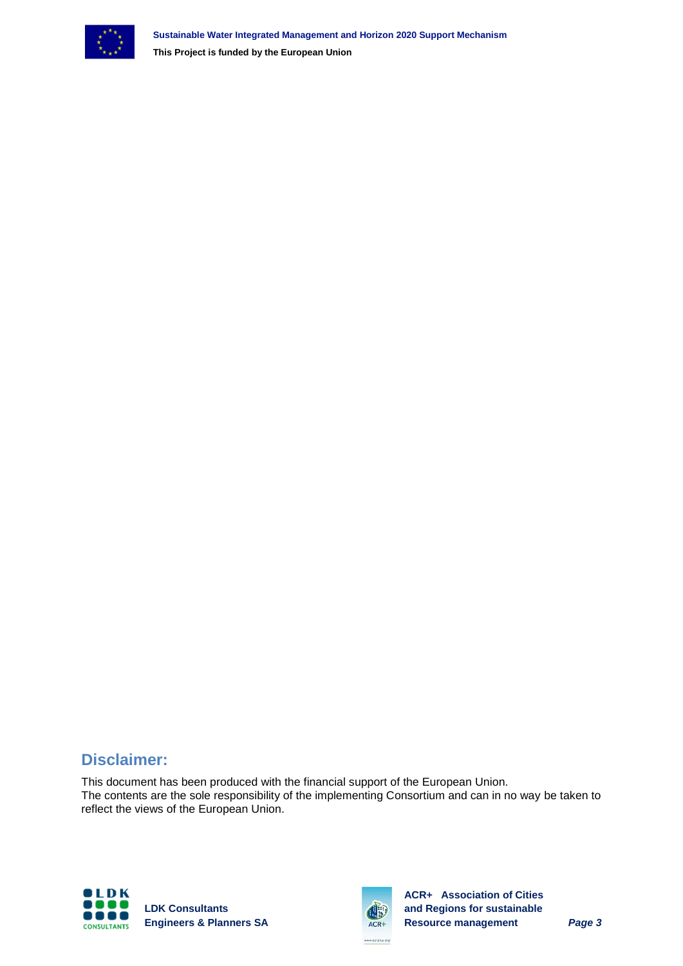

**This Project is funded by the European Union**

#### **Disclaimer:**

This document has been produced with the financial support of the European Union. The contents are the sole responsibility of the implementing Consortium and can in no way be taken to reflect the views of the European Union.



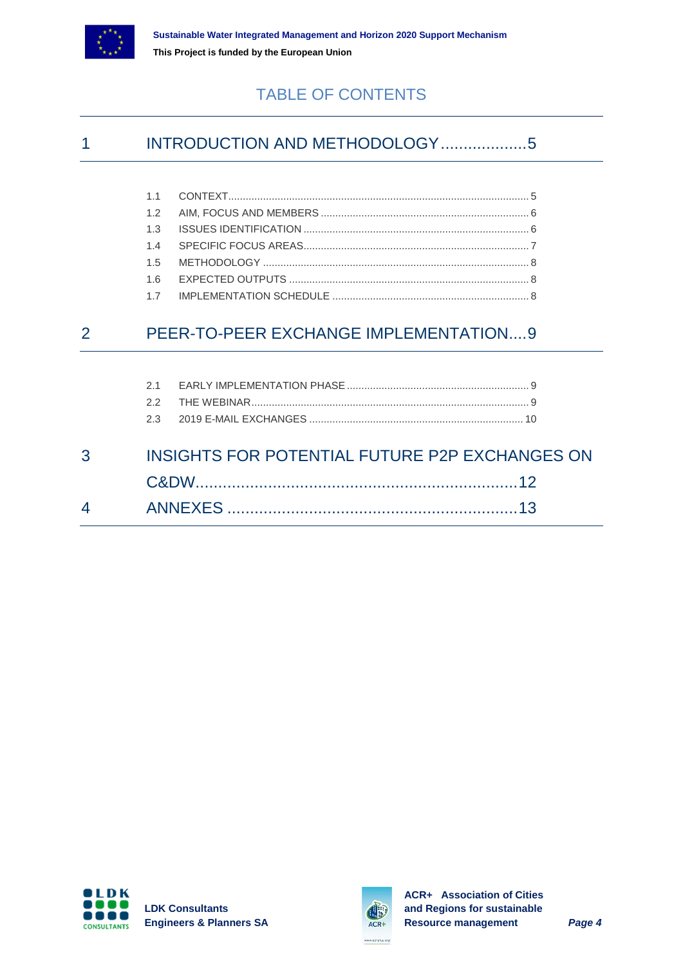

#### TABLE OF CONTENTS

#### 1 INTRODUCTION AND METHODOLOGY....................5

#### 2 [PEER-TO-PEER EXCHANGE IMPLEMENTATION....9](#page-8-0)

| $3 \qquad \qquad$ | INSIGHTS FOR POTENTIAL FUTURE P2P EXCHANGES ON |  |
|-------------------|------------------------------------------------|--|
|                   |                                                |  |
|                   |                                                |  |
|                   |                                                |  |
|                   |                                                |  |

| 4 | <b>ANNEYES</b> |  |
|---|----------------|--|



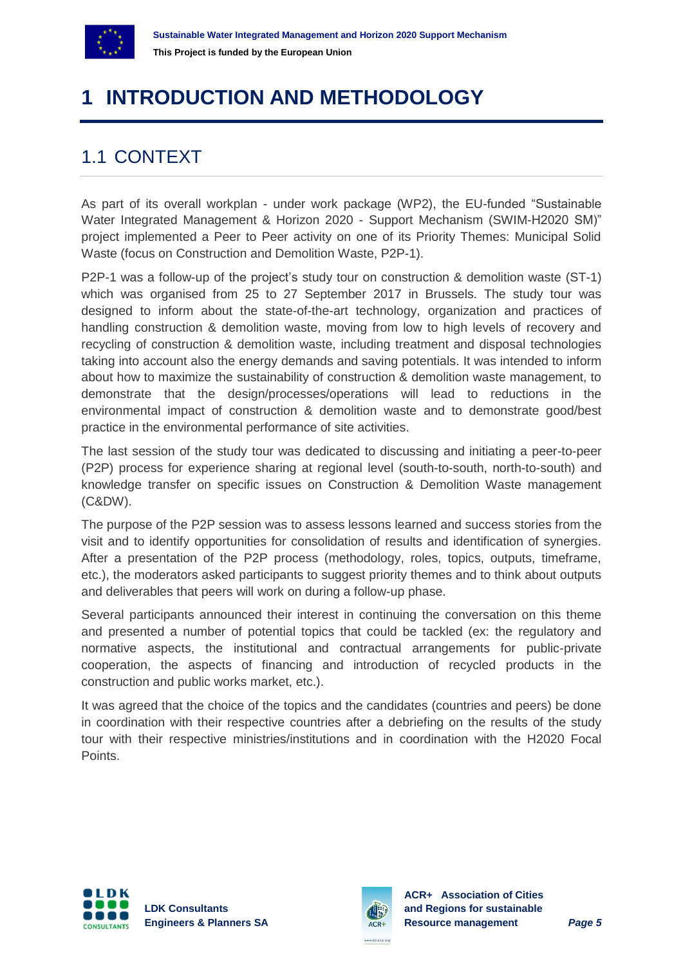

# <span id="page-4-0"></span>**1 INTRODUCTION AND METHODOLOGY**

### <span id="page-4-1"></span>1.1 CONTEXT

As part of its overall workplan - under work package (WP2), the EU-funded "Sustainable Water Integrated Management & Horizon 2020 - Support Mechanism (SWIM-H2020 SM)" project implemented a Peer to Peer activity on one of its Priority Themes: Municipal Solid Waste (focus on Construction and Demolition Waste, P2P-1).

P2P-1 was a follow-up of the project's study tour on construction & demolition waste (ST-1) which was organised from 25 to 27 September 2017 in Brussels. The study tour was designed to inform about the state-of-the-art technology, organization and practices of handling construction & demolition waste, moving from low to high levels of recovery and recycling of construction & demolition waste, including treatment and disposal technologies taking into account also the energy demands and saving potentials. It was intended to inform about how to maximize the sustainability of construction & demolition waste management, to demonstrate that the design/processes/operations will lead to reductions in the environmental impact of construction & demolition waste and to demonstrate good/best practice in the environmental performance of site activities.

The last session of the study tour was dedicated to discussing and initiating a peer-to-peer (P2P) process for experience sharing at regional level (south-to-south, north-to-south) and knowledge transfer on specific issues on Construction & Demolition Waste management (C&DW).

The purpose of the P2P session was to assess lessons learned and success stories from the visit and to identify opportunities for consolidation of results and identification of synergies. After a presentation of the P2P process (methodology, roles, topics, outputs, timeframe, etc.), the moderators asked participants to suggest priority themes and to think about outputs and deliverables that peers will work on during a follow-up phase.

Several participants announced their interest in continuing the conversation on this theme and presented a number of potential topics that could be tackled (ex: the regulatory and normative aspects, the institutional and contractual arrangements for public-private cooperation, the aspects of financing and introduction of recycled products in the construction and public works market, etc.).

It was agreed that the choice of the topics and the candidates (countries and peers) be done in coordination with their respective countries after a debriefing on the results of the study tour with their respective ministries/institutions and in coordination with the H2020 Focal Points.



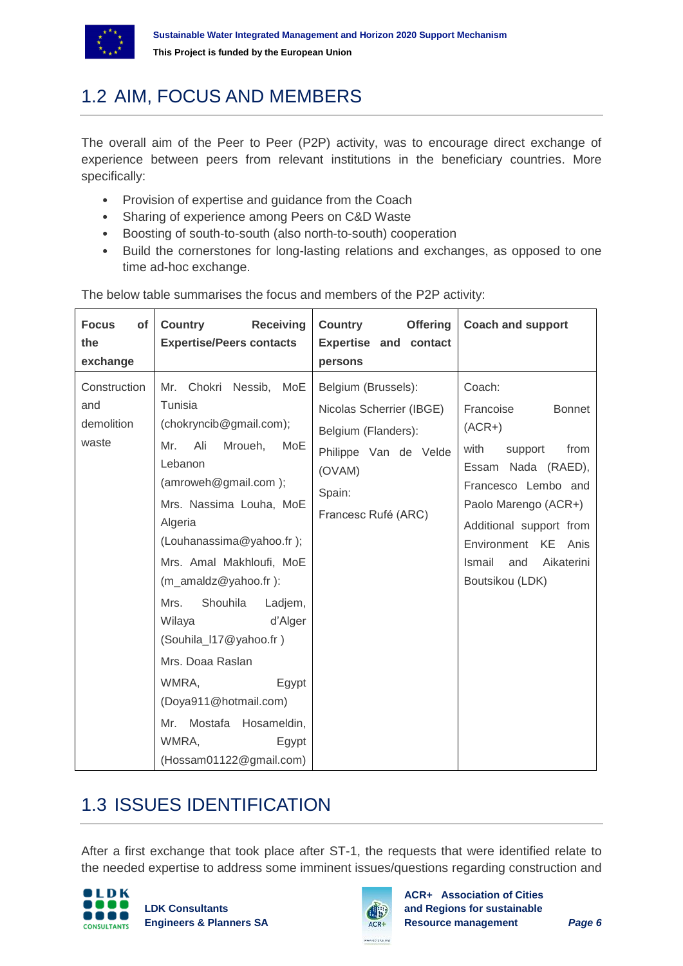

### <span id="page-5-0"></span>1.2 AIM, FOCUS AND MEMBERS

The overall aim of the Peer to Peer (P2P) activity, was to encourage direct exchange of experience between peers from relevant institutions in the beneficiary countries. More specifically:

- Provision of expertise and guidance from the Coach
- Sharing of experience among Peers on C&D Waste
- Boosting of south-to-south (also north-to-south) cooperation
- Build the cornerstones for long-lasting relations and exchanges, as opposed to one time ad-hoc exchange.

| <b>Focus</b><br>of<br>the<br>exchange      | <b>Receiving</b><br>Country<br><b>Expertise/Peers contacts</b>                                                                                                                                                                                                                                                                                                                                                                                                                | <b>Country</b><br><b>Offering</b><br><b>Expertise and contact</b><br>persons                                                               | <b>Coach and support</b>                                                                                                                                                                                                                                |
|--------------------------------------------|-------------------------------------------------------------------------------------------------------------------------------------------------------------------------------------------------------------------------------------------------------------------------------------------------------------------------------------------------------------------------------------------------------------------------------------------------------------------------------|--------------------------------------------------------------------------------------------------------------------------------------------|---------------------------------------------------------------------------------------------------------------------------------------------------------------------------------------------------------------------------------------------------------|
| Construction<br>and<br>demolition<br>waste | Mr. Chokri Nessib, MoE<br>Tunisia<br>(chokryncib@gmail.com);<br>Mr.<br>Ali<br>Mroueh,<br>MoE<br>Lebanon<br>(amroweh@gmail.com);<br>Mrs. Nassima Louha, MoE<br>Algeria<br>(Louhanassima@yahoo.fr);<br>Mrs. Amal Makhloufi, MoE<br>(m_amaldz@yahoo.fr):<br>Shouhila<br>Mrs.<br>Ladjem,<br>Wilaya<br>d'Alger<br>(Souhila_l17@yahoo.fr)<br>Mrs. Doaa Raslan<br>WMRA,<br>Egypt<br>(Doya911@hotmail.com)<br>Mostafa Hosameldin,<br>Mr.<br>WMRA,<br>Egypt<br>(Hossam01122@gmail.com) | Belgium (Brussels):<br>Nicolas Scherrier (IBGE)<br>Belgium (Flanders):<br>Philippe Van de Velde<br>(OVAM)<br>Spain:<br>Francesc Rufé (ARC) | Coach:<br>Francoise<br><b>Bonnet</b><br>$(ACR+)$<br>with<br>support<br>from<br>Essam Nada (RAED),<br>Francesco Lembo and<br>Paolo Marengo (ACR+)<br>Additional support from<br>Environment KE<br>Anis<br>Ismail<br>Aikaterini<br>and<br>Boutsikou (LDK) |

The below table summarises the focus and members of the P2P activity:

### <span id="page-5-1"></span>1.3 ISSUES IDENTIFICATION

After a first exchange that took place after ST-1, the requests that were identified relate to the needed expertise to address some imminent issues/questions regarding construction and



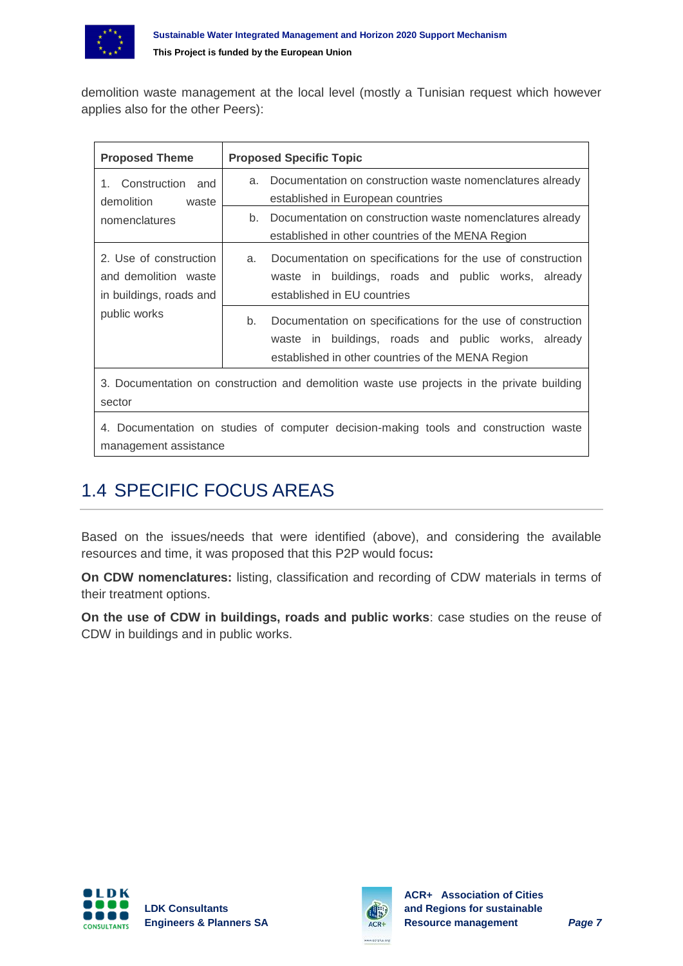

demolition waste management at the local level (mostly a Tunisian request which however applies also for the other Peers):

| <b>Proposed Theme</b>                                                     | <b>Proposed Specific Topic</b>                                                                                                                                                |  |  |  |  |  |
|---------------------------------------------------------------------------|-------------------------------------------------------------------------------------------------------------------------------------------------------------------------------|--|--|--|--|--|
| Construction<br>and<br>$1_{-}$<br>demolition<br>waste                     | Documentation on construction waste nomenclatures already<br>a.<br>established in European countries                                                                          |  |  |  |  |  |
| nomenclatures                                                             | Documentation on construction waste nomenclatures already<br>b.<br>established in other countries of the MENA Region                                                          |  |  |  |  |  |
| 2. Use of construction<br>and demolition waste<br>in buildings, roads and | Documentation on specifications for the use of construction<br>a.<br>waste in buildings, roads and public works, already<br>established in EU countries                       |  |  |  |  |  |
| public works                                                              | Documentation on specifications for the use of construction<br>b.<br>waste in buildings, roads and public works, already<br>established in other countries of the MENA Region |  |  |  |  |  |

3. Documentation on construction and demolition waste use projects in the private building sector

4. Documentation on studies of computer decision-making tools and construction waste management assistance

### <span id="page-6-0"></span>1.4 SPECIFIC FOCUS AREAS

Based on the issues/needs that were identified (above), and considering the available resources and time, it was proposed that this P2P would focus**:**

**On CDW nomenclatures:** listing, classification and recording of CDW materials in terms of their treatment options.

**On the use of CDW in buildings, roads and public works**: case studies on the reuse of CDW in buildings and in public works.



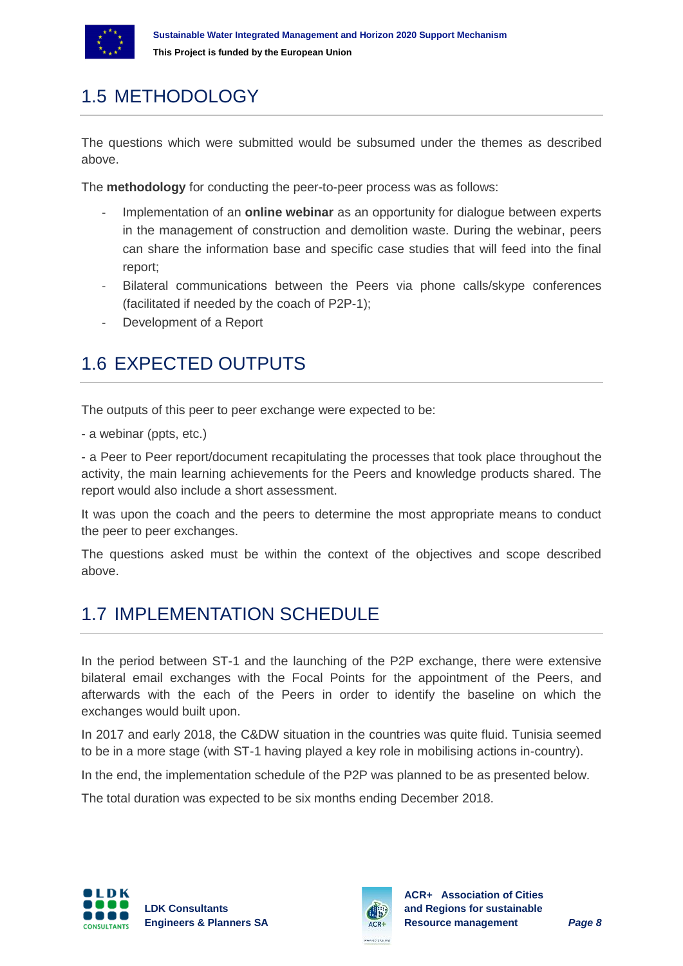

### <span id="page-7-0"></span>1.5 METHODOLOGY

The questions which were submitted would be subsumed under the themes as described above.

The **methodology** for conducting the peer-to-peer process was as follows:

- Implementation of an **online webinar** as an opportunity for dialogue between experts in the management of construction and demolition waste. During the webinar, peers can share the information base and specific case studies that will feed into the final report;
- Bilateral communications between the Peers via phone calls/skype conferences (facilitated if needed by the coach of P2P-1);
- Development of a Report

### <span id="page-7-1"></span>1.6 EXPECTED OUTPUTS

The outputs of this peer to peer exchange were expected to be:

- a webinar (ppts, etc.)

- a Peer to Peer report/document recapitulating the processes that took place throughout the activity, the main learning achievements for the Peers and knowledge products shared. The report would also include a short assessment.

It was upon the coach and the peers to determine the most appropriate means to conduct the peer to peer exchanges.

The questions asked must be within the context of the objectives and scope described above.

#### <span id="page-7-2"></span>1.7 IMPI EMENTATION SCHEDULE

In the period between ST-1 and the launching of the P2P exchange, there were extensive bilateral email exchanges with the Focal Points for the appointment of the Peers, and afterwards with the each of the Peers in order to identify the baseline on which the exchanges would built upon.

In 2017 and early 2018, the C&DW situation in the countries was quite fluid. Tunisia seemed to be in a more stage (with ST-1 having played a key role in mobilising actions in-country).

In the end, the implementation schedule of the P2P was planned to be as presented below.

The total duration was expected to be six months ending December 2018.



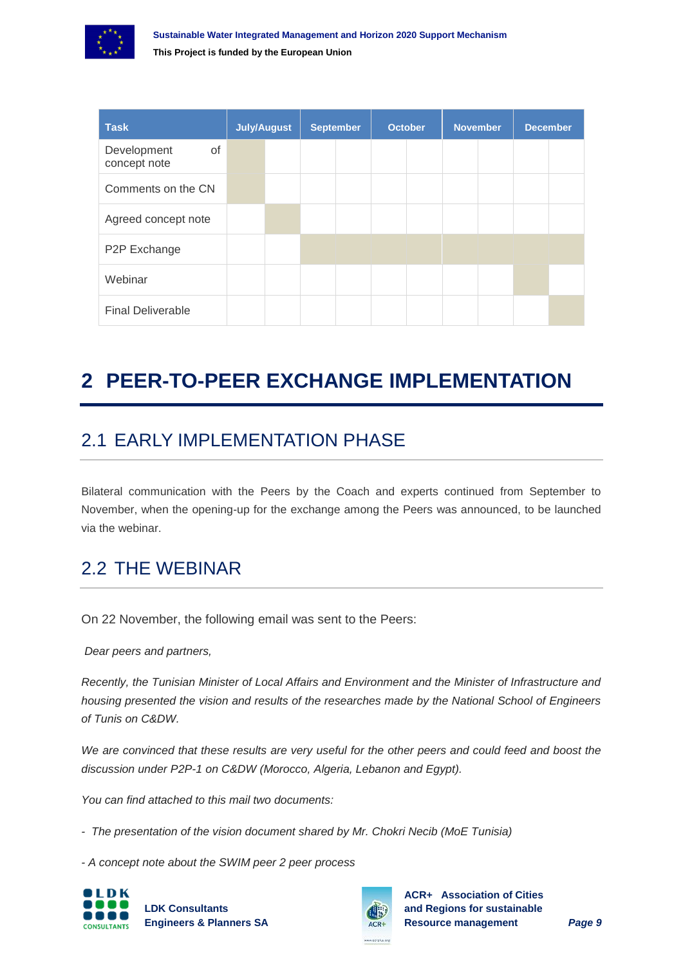

| <b>Task</b>                       | <b>July/August</b> |  | <b>September</b> |  | <b>October</b> |  | <b>November</b> |  | <b>December</b> |  |
|-----------------------------------|--------------------|--|------------------|--|----------------|--|-----------------|--|-----------------|--|
| of<br>Development<br>concept note |                    |  |                  |  |                |  |                 |  |                 |  |
| Comments on the CN                |                    |  |                  |  |                |  |                 |  |                 |  |
| Agreed concept note               |                    |  |                  |  |                |  |                 |  |                 |  |
| P2P Exchange                      |                    |  |                  |  |                |  |                 |  |                 |  |
| Webinar                           |                    |  |                  |  |                |  |                 |  |                 |  |
| <b>Final Deliverable</b>          |                    |  |                  |  |                |  |                 |  |                 |  |

# <span id="page-8-0"></span>**2 PEER-TO-PEER EXCHANGE IMPLEMENTATION**

### <span id="page-8-1"></span>2.1 EARLY IMPLEMENTATION PHASE

Bilateral communication with the Peers by the Coach and experts continued from September to November, when the opening-up for the exchange among the Peers was announced, to be launched via the webinar.

#### <span id="page-8-2"></span>2.2 THE WEBINAR

On 22 November, the following email was sent to the Peers:

*Dear peers and partners,*

*Recently, the Tunisian Minister of Local Affairs and Environment and the Minister of Infrastructure and housing presented the vision and results of the researches made by the National School of Engineers of Tunis on C&DW.*

We are convinced that these results are very useful for the other peers and could feed and boost the *discussion under P2P-1 on C&DW (Morocco, Algeria, Lebanon and Egypt).*

*You can find attached to this mail two documents:*

*- The presentation of the vision document shared by Mr. Chokri Necib (MoE Tunisia)*

*- A concept note about the SWIM peer 2 peer process*



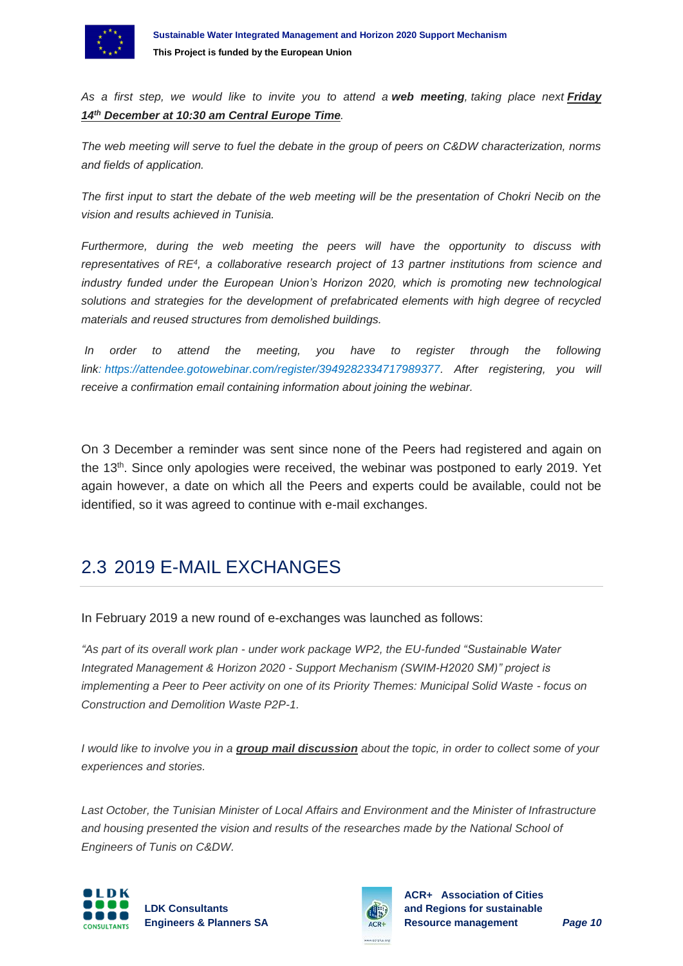

*As a first step, we would like to invite you to attend a web meeting, taking place next Friday 14th December at 10:30 am Central Europe Time.*

*The web meeting will serve to fuel the debate in the group of peers on C&DW characterization, norms and fields of application.*

*The first input to start the debate of the web meeting will be the presentation of Chokri Necib on the vision and results achieved in Tunisia.*

*Furthermore, during the web meeting the peers will have the opportunity to discuss with representatives of [RE](http://www.re4.eu/)<sup>4</sup>, a collaborative research project of 13 partner institutions from science and industry funded under the European Union's Horizon 2020, which is promoting new technological solutions and strategies for the development of prefabricated elements with high degree of recycled materials and reused structures from demolished buildings.*

*In order to attend the meeting, you have to register through the following link: [https://attendee.gotowebinar.com/register/3949282334717989377.](https://attendee.gotowebinar.com/register/3949282334717989377) After registering, you will receive a confirmation email containing information about joining the webinar.*

On 3 December a reminder was sent since none of the Peers had registered and again on the 13<sup>th</sup>. Since only apologies were received, the webinar was postponed to early 2019. Yet again however, a date on which all the Peers and experts could be available, could not be identified, so it was agreed to continue with e-mail exchanges.

#### <span id="page-9-0"></span>2.3 2019 E-MAIL EXCHANGES

In February 2019 a new round of e-exchanges was launched as follows:

*"As part of its overall work plan - under work package WP2, the EU-funded "Sustainable Water Integrated Management & Horizon 2020 - Support Mechanism (SWIM-H2020 SM)" project is implementing a Peer to Peer activity on one of its Priority Themes: Municipal Solid Waste - focus on Construction and Demolition Waste P2P-1.*

*I would like to involve you in a group mail discussion about the topic, in order to collect some of your experiences and stories.*

Last October, the Tunisian Minister of Local Affairs and Environment and the Minister of Infrastructure *and housing presented the vision and results of the researches made by the National School of Engineers of Tunis on C&DW.*



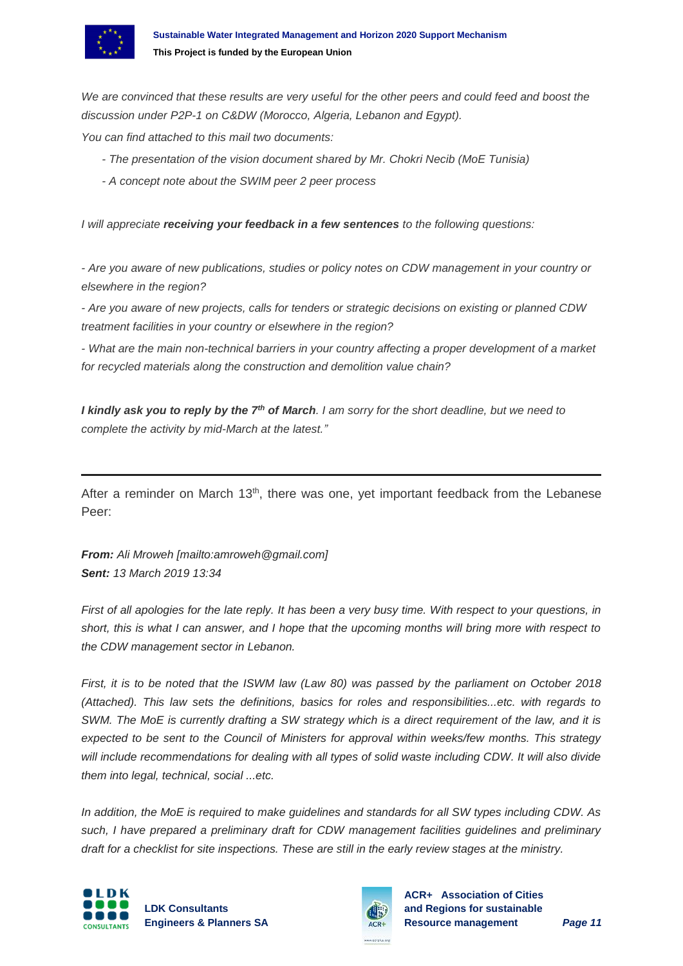

*We are convinced that these results are very useful for the other peers and could feed and boost the discussion under P2P-1 on C&DW (Morocco, Algeria, Lebanon and Egypt).*

*You can find attached to this mail two documents:* 

- *- The presentation of the vision document shared by Mr. Chokri Necib (MoE Tunisia)*
- *- A concept note about the SWIM peer 2 peer process*

*I will appreciate receiving your feedback in a few sentences to the following questions:*

*- Are you aware of new publications, studies or policy notes on CDW management in your country or elsewhere in the region?*

*- Are you aware of new projects, calls for tenders or strategic decisions on existing or planned CDW treatment facilities in your country or elsewhere in the region?*

*- What are the main non-technical barriers in your country affecting a proper development of a market for recycled materials along the construction and demolition value chain?*

*I kindly ask you to reply by the 7th of March. I am sorry for the short deadline, but we need to complete the activity by mid-March at the latest."*

After a reminder on March 13<sup>th</sup>, there was one, yet important feedback from the Lebanese Peer:

*From: Ali Mroweh [mailto:amroweh@gmail.com] Sent: 13 March 2019 13:34*

*First of all apologies for the late reply. It has been a very busy time. With respect to your questions, in short, this is what I can answer, and I hope that the upcoming months will bring more with respect to the CDW management sector in Lebanon.*

*First, it is to be noted that the ISWM law (Law 80) was passed by the parliament on October 2018 (Attached). This law sets the definitions, basics for roles and responsibilities...etc. with regards to SWM. The MoE is currently drafting a SW strategy which is a direct requirement of the law, and it is expected to be sent to the Council of Ministers for approval within weeks/few months. This strategy*  will include recommendations for dealing with all types of solid waste including CDW. It will also divide *them into legal, technical, social ...etc.*

*In addition, the MoE is required to make guidelines and standards for all SW types including CDW. As such, I have prepared a preliminary draft for CDW management facilities guidelines and preliminary draft for a checklist for site inspections. These are still in the early review stages at the ministry.*



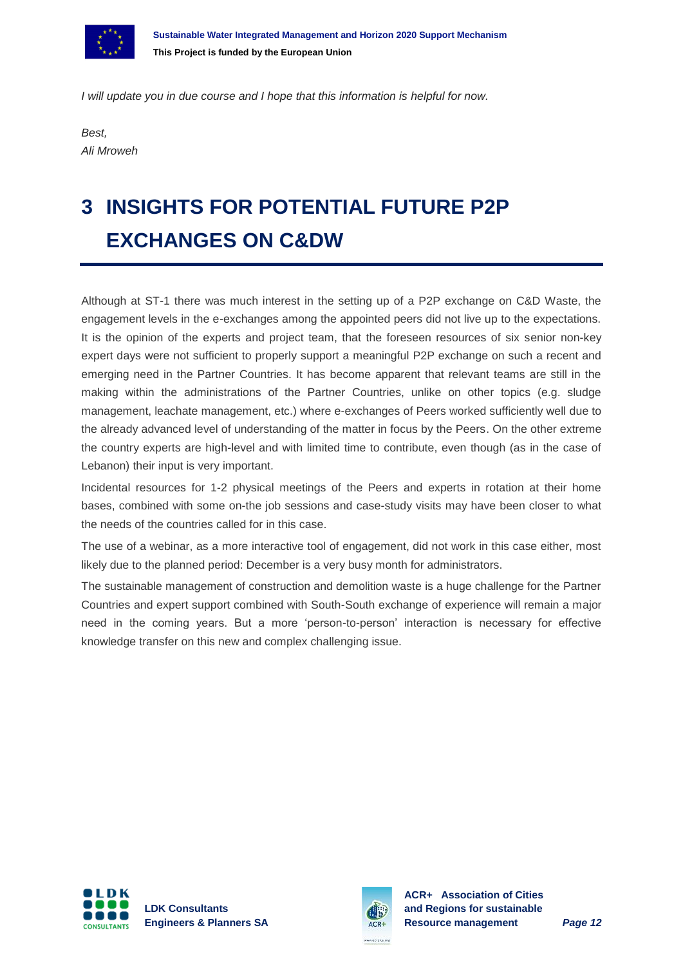

*I will update you in due course and I hope that this information is helpful for now.*

*Best, Ali Mroweh*

# <span id="page-11-0"></span>**3 INSIGHTS FOR POTENTIAL FUTURE P2P EXCHANGES ON C&DW**

Although at ST-1 there was much interest in the setting up of a P2P exchange on C&D Waste, the engagement levels in the e-exchanges among the appointed peers did not live up to the expectations. It is the opinion of the experts and project team, that the foreseen resources of six senior non-key expert days were not sufficient to properly support a meaningful P2P exchange on such a recent and emerging need in the Partner Countries. It has become apparent that relevant teams are still in the making within the administrations of the Partner Countries, unlike on other topics (e.g. sludge management, leachate management, etc.) where e-exchanges of Peers worked sufficiently well due to the already advanced level of understanding of the matter in focus by the Peers. On the other extreme the country experts are high-level and with limited time to contribute, even though (as in the case of Lebanon) their input is very important.

Incidental resources for 1-2 physical meetings of the Peers and experts in rotation at their home bases, combined with some on-the job sessions and case-study visits may have been closer to what the needs of the countries called for in this case.

The use of a webinar, as a more interactive tool of engagement, did not work in this case either, most likely due to the planned period: December is a very busy month for administrators.

The sustainable management of construction and demolition waste is a huge challenge for the Partner Countries and expert support combined with South-South exchange of experience will remain a major need in the coming years. But a more 'person-to-person' interaction is necessary for effective knowledge transfer on this new and complex challenging issue.